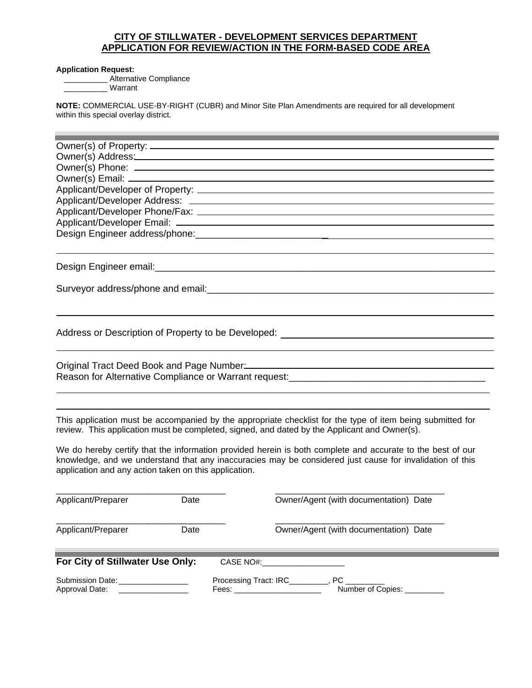## **CITY OF STILLWATER - DEVELOPMENT SERVICES DEPARTMENT APPLICATION FOR REVIEW/ACTION IN THE FORM-BASED CODE AREA**

## **Application Request:**

Alternative Compliance \_\_\_\_\_\_\_\_\_\_ Warrant

**NOTE:** COMMERCIAL USE-BY-RIGHT (CUBR) and Minor Site Plan Amendments are required for all development within this special overlay district.

| Address or Description of Property to be Developed: _____________________________                                                                                                                                                                                               |  |  |  |
|---------------------------------------------------------------------------------------------------------------------------------------------------------------------------------------------------------------------------------------------------------------------------------|--|--|--|
| Reason for Alternative Compliance or Warrant request:<br>Neason for Alternative Compliance or Warrant request:                                                                                                                                                                  |  |  |  |
| This application must be accompanied by the appropriate checklist for the type of item being submitted for<br>review. This application must be completed, signed, and dated by the Applicant and Owner(s).                                                                      |  |  |  |
| We do hereby certify that the information provided herein is both complete and accurate to the best of our<br>knowledge, and we understand that any inaccuracies may be considered just cause for invalidation of this<br>application and any action taken on this application. |  |  |  |
| Owner/Agent (with documentation) Date                                                                                                                                                                                                                                           |  |  |  |
| Owner/Agent (with documentation) Date                                                                                                                                                                                                                                           |  |  |  |
|                                                                                                                                                                                                                                                                                 |  |  |  |
| Processing Tract: IRC _________, PC<br>Number of Copies:                                                                                                                                                                                                                        |  |  |  |
|                                                                                                                                                                                                                                                                                 |  |  |  |